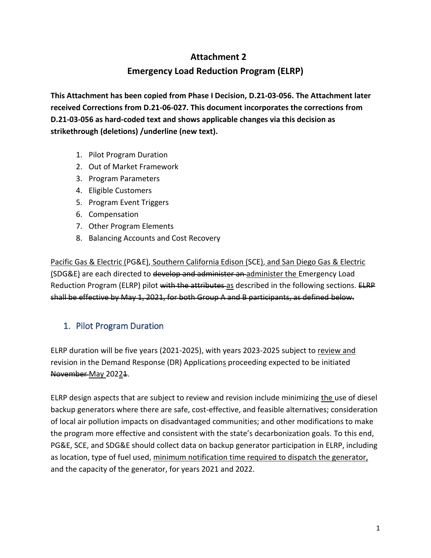# **Attachment 2**

# **Emergency Load Reduction Program (ELRP)**

**This Attachment has been copied from Phase I Decision, D.21-03-056. The Attachment later received Corrections from D.21-06-027. This document incorporates the corrections from D.21-03-056 as hard-coded text and shows applicable changes via this decision as strikethrough (deletions) /underline (new text).**

- 1. Pilot Program Duration
- 2. Out of Market Framework
- 3. Program Parameters
- 4. Eligible Customers
- 5. Program Event Triggers
- 6. Compensation
- 7. Other Program Elements
- 8. Balancing Accounts and Cost Recovery

Pacific Gas & Electric (PG&E), Southern California Edison (SCE), and San Diego Gas & Electric (SDG&E) are each directed to develop and administer an administer the Emergency Load Reduction Program (ELRP) pilot with the attributes as described in the following sections. ELRP shall be effective by May 1, 2021, for both Group A and B participants, as defined below.

## 1. Pilot Program Duration

ELRP duration will be five years (2021-2025), with years 2023-2025 subject to review and revision in the Demand Response (DR) Applications proceeding expected to be initiated November May 20221.

ELRP design aspects that are subject to review and revision include minimizing the use of diesel backup generators where there are safe, cost-effective, and feasible alternatives; consideration of local air pollution impacts on disadvantaged communities; and other modifications to make the program more effective and consistent with the state's decarbonization goals. To this end, PG&E, SCE, and SDG&E should collect data on backup generator participation in ELRP, including as location, type of fuel used, minimum notification time required to dispatch the generator, and the capacity of the generator, for years 2021 and 2022.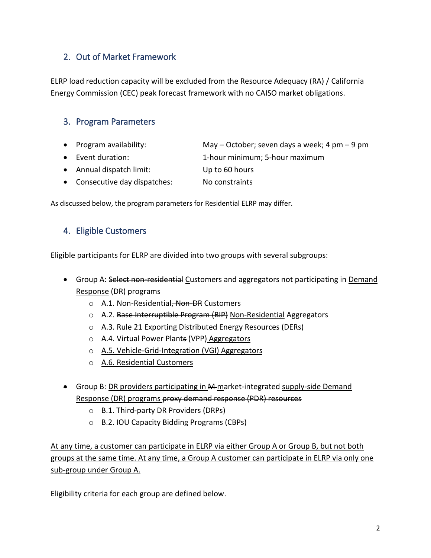# 2. Out of Market Framework

ELRP load reduction capacity will be excluded from the Resource Adequacy (RA) / California Energy Commission (CEC) peak forecast framework with no CAISO market obligations.

## 3. Program Parameters

- Program availability: May October; seven days a week; 4 pm 9 pm
- Event duration: 1-hour minimum; 5-hour maximum
- Annual dispatch limit: Up to 60 hours
- Consecutive day dispatches: No constraints

As discussed below, the program parameters for Residential ELRP may differ.

### 4. Eligible Customers

Eligible participants for ELRP are divided into two groups with several subgroups:

- Group A: Select non-residential Customers and aggregators not participating in Demand Response (DR) programs
	- o A.1. Non-Residential, Non-DR Customers
	- o A.2. Base Interruptible Program (BIP) Non-Residential Aggregators
	- o A.3. Rule 21 Exporting Distributed Energy Resources (DERs)
	- o A.4. Virtual Power Plants (VPP) Aggregators
	- o A.5. Vehicle-Grid-Integration (VGI) Aggregators
	- o A.6. Residential Customers
- Group B: DR providers participating in A4-market-integrated supply-side Demand Response (DR) programs proxy demand response (PDR) resources
	- o B.1. Third-party DR Providers (DRPs)
	- o B.2. IOU Capacity Bidding Programs (CBPs)

At any time, a customer can participate in ELRP via either Group A or Group B, but not both groups at the same time. At any time, a Group A customer can participate in ELRP via only one sub-group under Group A.

Eligibility criteria for each group are defined below.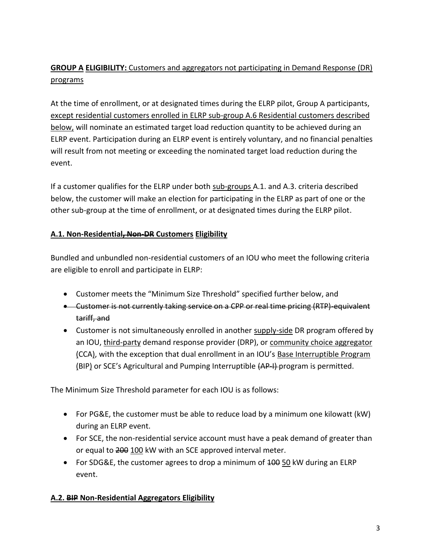# **GROUP A ELIGIBILITY:** Customers and aggregators not participating in Demand Response (DR) programs

At the time of enrollment, or at designated times during the ELRP pilot, Group A participants, except residential customers enrolled in ELRP sub-group A.6 Residential customers described below, will nominate an estimated target load reduction quantity to be achieved during an ELRP event. Participation during an ELRP event is entirely voluntary, and no financial penalties will result from not meeting or exceeding the nominated target load reduction during the event.

If a customer qualifies for the ELRP under both sub-groups A.1. and A.3. criteria described below, the customer will make an election for participating in the ELRP as part of one or the other sub-group at the time of enrollment, or at designated times during the ELRP pilot.

### **A.1. Non-Residential, Non-DR Customers Eligibility**

Bundled and unbundled non-residential customers of an IOU who meet the following criteria are eligible to enroll and participate in ELRP:

- Customer meets the "Minimum Size Threshold" specified further below, and
- Customer is not currently taking service on a CPP or real time pricing (RTP)-equivalent tariff, and
- Customer is not simultaneously enrolled in another supply-side DR program offered by an IOU, third-party demand response provider (DRP), or community choice aggregator (CCA), with the exception that dual enrollment in an IOU's Base Interruptible Program (BIP) or SCE's Agricultural and Pumping Interruptible (AP-I)-program is permitted.

The Minimum Size Threshold parameter for each IOU is as follows:

- For PG&E, the customer must be able to reduce load by a minimum one kilowatt (kW) during an ELRP event.
- For SCE, the non-residential service account must have a peak demand of greater than or equal to 200 100 kW with an SCE approved interval meter.
- For SDG&E, the customer agrees to drop a minimum of 400 50 kW during an ELRP event.

## **A.2. BIP Non-Residential Aggregators Eligibility**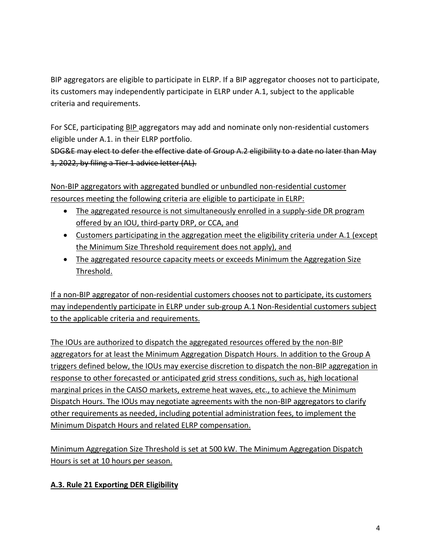BIP aggregators are eligible to participate in ELRP. If a BIP aggregator chooses not to participate, its customers may independently participate in ELRP under A.1, subject to the applicable criteria and requirements.

For SCE, participating **BIP** aggregators may add and nominate only non-residential customers eligible under A.1. in their ELRP portfolio.

SDG&E may elect to defer the effective date of Group A.2 eligibility to a date no later than May 1, 2022, by filing a Tier 1 advice letter (AL).

Non-BIP aggregators with aggregated bundled or unbundled non-residential customer resources meeting the following criteria are eligible to participate in ELRP:

- The aggregated resource is not simultaneously enrolled in a supply-side DR program offered by an IOU, third-party DRP, or CCA, and
- Customers participating in the aggregation meet the eligibility criteria under A.1 (except the Minimum Size Threshold requirement does not apply), and
- The aggregated resource capacity meets or exceeds Minimum the Aggregation Size Threshold.

If a non-BIP aggregator of non-residential customers chooses not to participate, its customers may independently participate in ELRP under sub-group A.1 Non-Residential customers subject to the applicable criteria and requirements.

The IOUs are authorized to dispatch the aggregated resources offered by the non-BIP aggregators for at least the Minimum Aggregation Dispatch Hours. In addition to the Group A triggers defined below, the IOUs may exercise discretion to dispatch the non-BIP aggregation in response to other forecasted or anticipated grid stress conditions, such as, high locational marginal prices in the CAISO markets, extreme heat waves, etc., to achieve the Minimum Dispatch Hours. The IOUs may negotiate agreements with the non-BIP aggregators to clarify other requirements as needed, including potential administration fees, to implement the Minimum Dispatch Hours and related ELRP compensation.

Minimum Aggregation Size Threshold is set at 500 kW. The Minimum Aggregation Dispatch Hours is set at 10 hours per season.

## **A.3. Rule 21 Exporting DER Eligibility**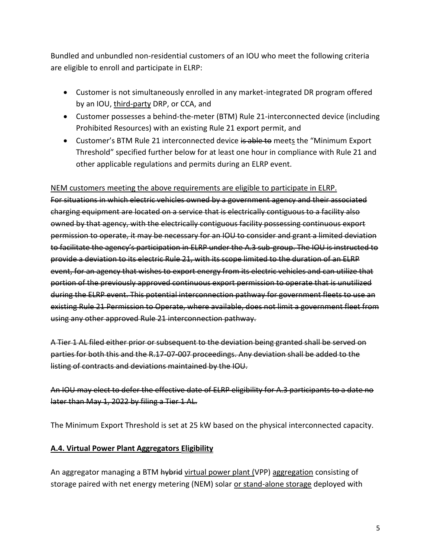Bundled and unbundled non-residential customers of an IOU who meet the following criteria are eligible to enroll and participate in ELRP:

- Customer is not simultaneously enrolled in any market-integrated DR program offered by an IOU, third-party DRP, or CCA, and
- Customer possesses a behind-the-meter (BTM) Rule 21-interconnected device (including Prohibited Resources) with an existing Rule 21 export permit, and
- Customer's BTM Rule 21 interconnected device is able to meets the "Minimum Export" Threshold" specified further below for at least one hour in compliance with Rule 21 and other applicable regulations and permits during an ELRP event.

#### NEM customers meeting the above requirements are eligible to participate in ELRP.

For situations in which electric vehicles owned by a government agency and their associated charging equipment are located on a service that is electrically contiguous to a facility also owned by that agency, with the electrically contiguous facility possessing continuous export permission to operate, it may be necessary for an IOU to consider and grant a limited deviation to facilitate the agency's participation in ELRP under the A.3 sub-group. The IOU is instructed to provide a deviation to its electric Rule 21, with its scope limited to the duration of an ELRP event, for an agency that wishes to export energy from its electric vehicles and can utilize that portion of the previously approved continuous export permission to operate that is unutilized during the ELRP event. This potential interconnection pathway for government fleets to use an existing Rule 21 Permission to Operate, where available, does not limit a government fleet from using any other approved Rule 21 interconnection pathway.

A Tier 1 AL filed either prior or subsequent to the deviation being granted shall be served on parties for both this and the R.17-07-007 proceedings. Any deviation shall be added to the listing of contracts and deviations maintained by the IOU.

An IOU may elect to defer the effective date of ELRP eligibility for A.3 participants to a date no later than May 1, 2022 by filing a Tier 1 AL.

The Minimum Export Threshold is set at 25 kW based on the physical interconnected capacity.

#### **A.4. Virtual Power Plant Aggregators Eligibility**

An aggregator managing a BTM hybrid virtual power plant (VPP) aggregation consisting of storage paired with net energy metering (NEM) solar or stand-alone storage deployed with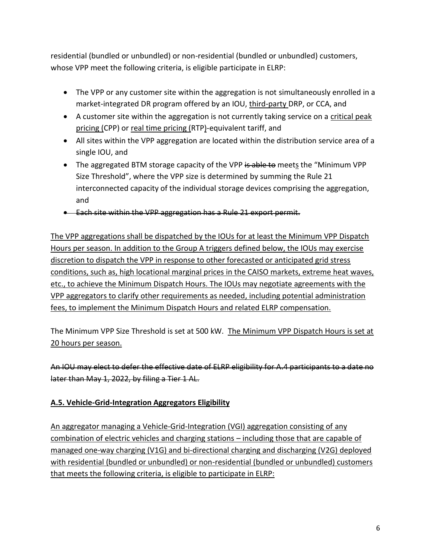residential (bundled or unbundled) or non-residential (bundled or unbundled) customers, whose VPP meet the following criteria, is eligible participate in ELRP:

- The VPP or any customer site within the aggregation is not simultaneously enrolled in a market-integrated DR program offered by an IOU, third-party DRP, or CCA, and
- A customer site within the aggregation is not currently taking service on a critical peak pricing (CPP) or real time pricing (RTP)-equivalent tariff, and
- All sites within the VPP aggregation are located within the distribution service area of a single IOU, and
- The aggregated BTM storage capacity of the VPP is able to meets the "Minimum VPP Size Threshold", where the VPP size is determined by summing the Rule 21 interconnected capacity of the individual storage devices comprising the aggregation, and
- Each site within the VPP aggregation has a Rule 21 export permit.

The VPP aggregations shall be dispatched by the IOUs for at least the Minimum VPP Dispatch Hours per season. In addition to the Group A triggers defined below, the IOUs may exercise discretion to dispatch the VPP in response to other forecasted or anticipated grid stress conditions, such as, high locational marginal prices in the CAISO markets, extreme heat waves, etc., to achieve the Minimum Dispatch Hours. The IOUs may negotiate agreements with the VPP aggregators to clarify other requirements as needed, including potential administration fees, to implement the Minimum Dispatch Hours and related ELRP compensation.

The Minimum VPP Size Threshold is set at 500 kW. The Minimum VPP Dispatch Hours is set at 20 hours per season.

An IOU may elect to defer the effective date of ELRP eligibility for A.4 participants to a date no later than May 1, 2022, by filing a Tier 1 AL.

### **A.5. Vehicle-Grid-Integration Aggregators Eligibility**

An aggregator managing a Vehicle-Grid-Integration (VGI) aggregation consisting of any combination of electric vehicles and charging stations – including those that are capable of managed one-way charging (V1G) and bi-directional charging and discharging (V2G) deployed with residential (bundled or unbundled) or non-residential (bundled or unbundled) customers that meets the following criteria, is eligible to participate in ELRP: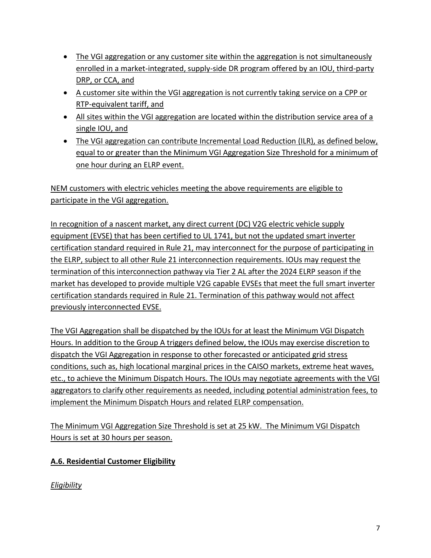- The VGI aggregation or any customer site within the aggregation is not simultaneously enrolled in a market-integrated, supply-side DR program offered by an IOU, third-party DRP, or CCA, and
- A customer site within the VGI aggregation is not currently taking service on a CPP or RTP-equivalent tariff, and
- All sites within the VGI aggregation are located within the distribution service area of a single IOU, and
- The VGI aggregation can contribute Incremental Load Reduction (ILR), as defined below, equal to or greater than the Minimum VGI Aggregation Size Threshold for a minimum of one hour during an ELRP event.

NEM customers with electric vehicles meeting the above requirements are eligible to participate in the VGI aggregation.

In recognition of a nascent market, any direct current (DC) V2G electric vehicle supply equipment (EVSE) that has been certified to UL 1741, but not the updated smart inverter certification standard required in Rule 21, may interconnect for the purpose of participating in the ELRP, subject to all other Rule 21 interconnection requirements. IOUs may request the termination of this interconnection pathway via Tier 2 AL after the 2024 ELRP season if the market has developed to provide multiple V2G capable EVSEs that meet the full smart inverter certification standards required in Rule 21. Termination of this pathway would not affect previously interconnected EVSE.

The VGI Aggregation shall be dispatched by the IOUs for at least the Minimum VGI Dispatch Hours. In addition to the Group A triggers defined below, the IOUs may exercise discretion to dispatch the VGI Aggregation in response to other forecasted or anticipated grid stress conditions, such as, high locational marginal prices in the CAISO markets, extreme heat waves, etc., to achieve the Minimum Dispatch Hours. The IOUs may negotiate agreements with the VGI aggregators to clarify other requirements as needed, including potential administration fees, to implement the Minimum Dispatch Hours and related ELRP compensation.

The Minimum VGI Aggregation Size Threshold is set at 25 kW. The Minimum VGI Dispatch Hours is set at 30 hours per season.

## **A.6. Residential Customer Eligibility**

*Eligibility*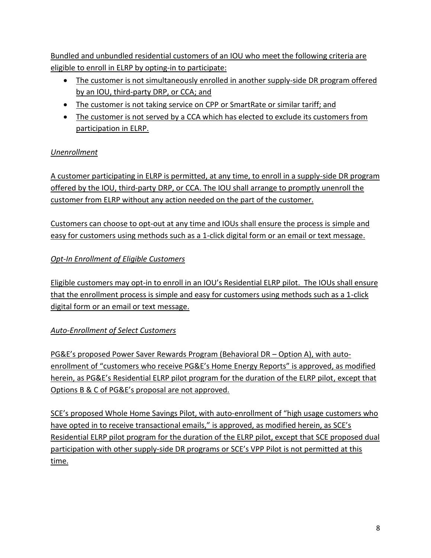Bundled and unbundled residential customers of an IOU who meet the following criteria are eligible to enroll in ELRP by opting-in to participate:

- The customer is not simultaneously enrolled in another supply-side DR program offered by an IOU, third-party DRP, or CCA; and
- The customer is not taking service on CPP or SmartRate or similar tariff; and
- The customer is not served by a CCA which has elected to exclude its customers from participation in ELRP.

### *Unenrollment*

A customer participating in ELRP is permitted, at any time, to enroll in a supply-side DR program offered by the IOU, third-party DRP, or CCA. The IOU shall arrange to promptly unenroll the customer from ELRP without any action needed on the part of the customer.

Customers can choose to opt-out at any time and IOUs shall ensure the process is simple and easy for customers using methods such as a 1-click digital form or an email or text message.

## *Opt-In Enrollment of Eligible Customers*

Eligible customers may opt-in to enroll in an IOU's Residential ELRP pilot. The IOUs shall ensure that the enrollment process is simple and easy for customers using methods such as a 1-click digital form or an email or text message.

## *Auto-Enrollment of Select Customers*

PG&E's proposed Power Saver Rewards Program (Behavioral DR – Option A), with autoenrollment of "customers who receive PG&E's Home Energy Reports" is approved, as modified herein, as PG&E's Residential ELRP pilot program for the duration of the ELRP pilot, except that Options B & C of PG&E's proposal are not approved.

SCE's proposed Whole Home Savings Pilot, with auto-enrollment of "high usage customers who have opted in to receive transactional emails," is approved, as modified herein, as SCE's Residential ELRP pilot program for the duration of the ELRP pilot, except that SCE proposed dual participation with other supply-side DR programs or SCE's VPP Pilot is not permitted at this time.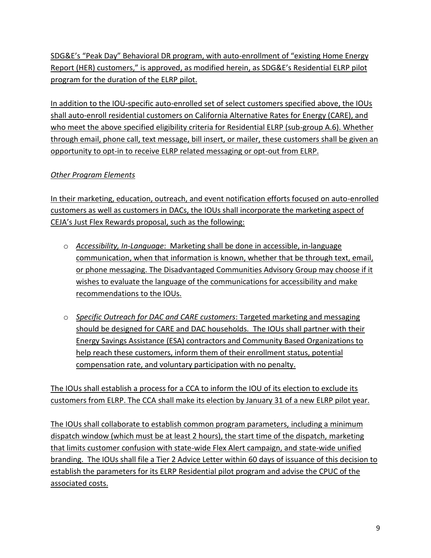SDG&E's "Peak Day" Behavioral DR program, with auto-enrollment of "existing Home Energy Report (HER) customers," is approved, as modified herein, as SDG&E's Residential ELRP pilot program for the duration of the ELRP pilot.

In addition to the IOU-specific auto-enrolled set of select customers specified above, the IOUs shall auto-enroll residential customers on California Alternative Rates for Energy (CARE), and who meet the above specified eligibility criteria for Residential ELRP (sub-group A.6). Whether through email, phone call, text message, bill insert, or mailer, these customers shall be given an opportunity to opt-in to receive ELRP related messaging or opt-out from ELRP.

### *Other Program Elements*

In their marketing, education, outreach, and event notification efforts focused on auto-enrolled customers as well as customers in DACs, the IOUs shall incorporate the marketing aspect of CEJA's Just Flex Rewards proposal, such as the following:

- o *Accessibility, In-Language*: Marketing shall be done in accessible, in-language communication, when that information is known, whether that be through text, email, or phone messaging. The Disadvantaged Communities Advisory Group may choose if it wishes to evaluate the language of the communications for accessibility and make recommendations to the IOUs.
- o *Specific Outreach for DAC and CARE customers*: Targeted marketing and messaging should be designed for CARE and DAC households. The IOUs shall partner with their Energy Savings Assistance (ESA) contractors and Community Based Organizations to help reach these customers, inform them of their enrollment status, potential compensation rate, and voluntary participation with no penalty.

The IOUs shall establish a process for a CCA to inform the IOU of its election to exclude its customers from ELRP. The CCA shall make its election by January 31 of a new ELRP pilot year.

The IOUs shall collaborate to establish common program parameters, including a minimum dispatch window (which must be at least 2 hours), the start time of the dispatch, marketing that limits customer confusion with state-wide Flex Alert campaign, and state-wide unified branding. The IOUs shall file a Tier 2 Advice Letter within 60 days of issuance of this decision to establish the parameters for its ELRP Residential pilot program and advise the CPUC of the associated costs.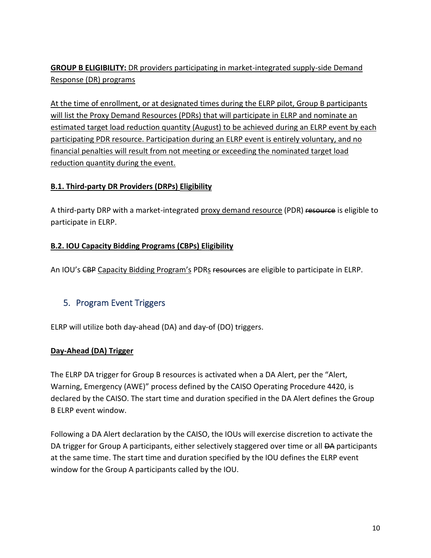**GROUP B ELIGIBILITY:** DR providers participating in market-integrated supply-side Demand Response (DR) programs

At the time of enrollment, or at designated times during the ELRP pilot, Group B participants will list the Proxy Demand Resources (PDRs) that will participate in ELRP and nominate an estimated target load reduction quantity (August) to be achieved during an ELRP event by each participating PDR resource. Participation during an ELRP event is entirely voluntary, and no financial penalties will result from not meeting or exceeding the nominated target load reduction quantity during the event.

#### **B.1. Third-party DR Providers (DRPs) Eligibility**

A third-party DRP with a market-integrated proxy demand resource (PDR) resource is eligible to participate in ELRP.

#### **B.2. IOU Capacity Bidding Programs (CBPs) Eligibility**

An IOU's CBP Capacity Bidding Program's PDRs resources are eligible to participate in ELRP.

## 5. Program Event Triggers

ELRP will utilize both day-ahead (DA) and day-of (DO) triggers.

#### **Day-Ahead (DA) Trigger**

The ELRP DA trigger for Group B resources is activated when a DA Alert, per the "Alert, Warning, Emergency (AWE)" process defined by the CAISO Operating Procedure 4420, is declared by the CAISO. The start time and duration specified in the DA Alert defines the Group B ELRP event window.

Following a DA Alert declaration by the CAISO, the IOUs will exercise discretion to activate the DA trigger for Group A participants, either selectively staggered over time or all <del>DA</del> participants at the same time. The start time and duration specified by the IOU defines the ELRP event window for the Group A participants called by the IOU.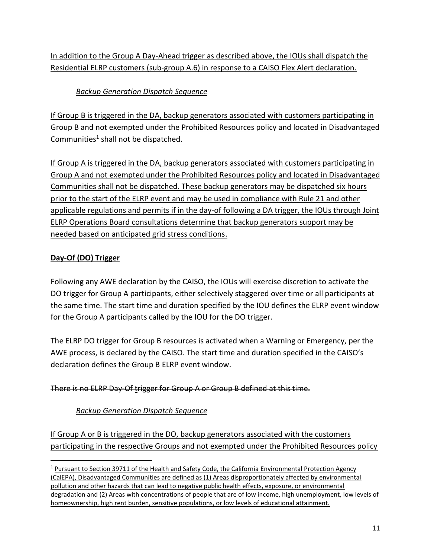In addition to the Group A Day-Ahead trigger as described above, the IOUs shall dispatch the Residential ELRP customers (sub-group A.6) in response to a CAISO Flex Alert declaration.

*Backup Generation Dispatch Sequence*

If Group B is triggered in the DA, backup generators associated with customers participating in Group B and not exempted under the Prohibited Resources policy and located in Disadvantaged Communities<sup>1</sup> shall not be dispatched.

If Group A is triggered in the DA, backup generators associated with customers participating in Group A and not exempted under the Prohibited Resources policy and located in Disadvantaged Communities shall not be dispatched. These backup generators may be dispatched six hours prior to the start of the ELRP event and may be used in compliance with Rule 21 and other applicable regulations and permits if in the day-of following a DA trigger, the IOUs through Joint ELRP Operations Board consultations determine that backup generators support may be needed based on anticipated grid stress conditions.

## **Day-Of (DO) Trigger**

Following any AWE declaration by the CAISO, the IOUs will exercise discretion to activate the DO trigger for Group A participants, either selectively staggered over time or all participants at the same time. The start time and duration specified by the IOU defines the ELRP event window for the Group A participants called by the IOU for the DO trigger.

The ELRP DO trigger for Group B resources is activated when a Warning or Emergency, per the AWE process, is declared by the CAISO. The start time and duration specified in the CAISO's declaration defines the Group B ELRP event window.

### There is no ELRP Day-Of trigger for Group A or Group B defined at this time.

## *Backup Generation Dispatch Sequence*

If Group A or B is triggered in the DO, backup generators associated with the customers participating in the respective Groups and not exempted under the Prohibited Resources policy

<sup>&</sup>lt;sup>1</sup> Pursuant to Section 39711 of the Health and Safety Code, the California Environmental Protection Agency (CalEPA), Disadvantaged Communities are defined as (1) Areas disproportionately affected by environmental pollution and other hazards that can lead to negative public health effects, exposure, or environmental degradation and (2) Areas with concentrations of people that are of low income, high unemployment, low levels of homeownership, high rent burden, sensitive populations, or low levels of educational attainment.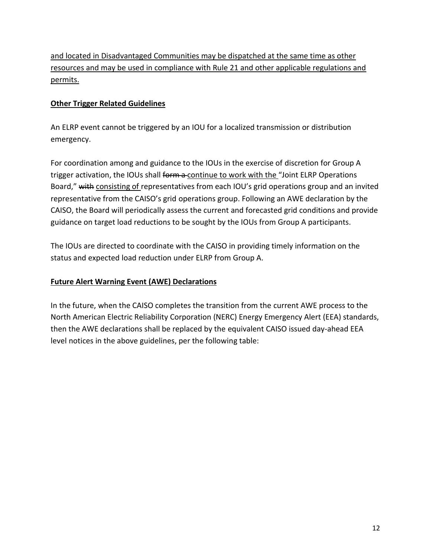and located in Disadvantaged Communities may be dispatched at the same time as other resources and may be used in compliance with Rule 21 and other applicable regulations and permits.

#### **Other Trigger Related Guidelines**

An ELRP event cannot be triggered by an IOU for a localized transmission or distribution emergency.

For coordination among and guidance to the IOUs in the exercise of discretion for Group A trigger activation, the IOUs shall form a continue to work with the "Joint ELRP Operations" Board," with consisting of representatives from each IOU's grid operations group and an invited representative from the CAISO's grid operations group. Following an AWE declaration by the CAISO, the Board will periodically assess the current and forecasted grid conditions and provide guidance on target load reductions to be sought by the IOUs from Group A participants.

The IOUs are directed to coordinate with the CAISO in providing timely information on the status and expected load reduction under ELRP from Group A.

#### **Future Alert Warning Event (AWE) Declarations**

In the future, when the CAISO completes the transition from the current AWE process to the North American Electric Reliability Corporation (NERC) Energy Emergency Alert (EEA) standards, then the AWE declarations shall be replaced by the equivalent CAISO issued day-ahead EEA level notices in the above guidelines, per the following table: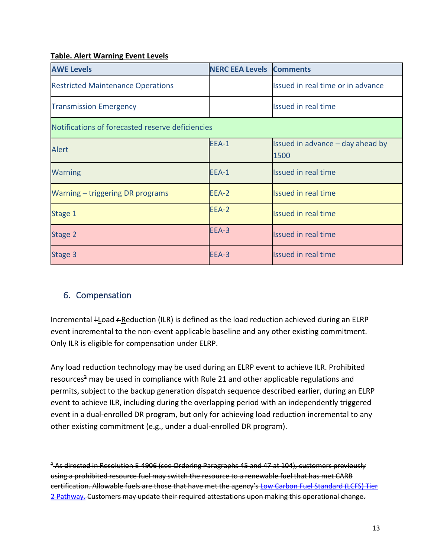#### **Table. Alert Warning Event Levels**

| <b>AWE Levels</b>                                | <b>NERC EEA Levels Comments</b> |                                          |  |  |  |  |  |  |
|--------------------------------------------------|---------------------------------|------------------------------------------|--|--|--|--|--|--|
| <b>Restricted Maintenance Operations</b>         |                                 | Issued in real time or in advance        |  |  |  |  |  |  |
| <b>Transmission Emergency</b>                    |                                 | <b>Issued in real time</b>               |  |  |  |  |  |  |
| Notifications of forecasted reserve deficiencies |                                 |                                          |  |  |  |  |  |  |
| <b>Alert</b>                                     | EEA-1                           | Issued in advance - day ahead by<br>1500 |  |  |  |  |  |  |
| <b>Warning</b>                                   | EEA-1                           | <b>Issued in real time</b>               |  |  |  |  |  |  |
| Warning – triggering DR programs                 | EEA-2                           | <b>Issued in real time</b>               |  |  |  |  |  |  |
| Stage 1                                          | EEA-2                           | <b>Issued in real time</b>               |  |  |  |  |  |  |
| Stage 2                                          | EEA-3                           | <b>Issued in real time</b>               |  |  |  |  |  |  |
| Stage 3                                          | EEA-3                           | <b>Issued in real time</b>               |  |  |  |  |  |  |

## 6. Compensation

Incremental  $L$  and  $R$  Reduction (ILR) is defined as the load reduction achieved during an ELRP event incremental to the non-event applicable baseline and any other existing commitment. Only ILR is eligible for compensation under ELRP.

Any load reduction technology may be used during an ELRP event to achieve ILR. Prohibited resources<sup>2</sup> may be used in compliance with Rule 21 and other applicable regulations and permits, subject to the backup generation dispatch sequence described earlier, during an ELRP event to achieve ILR, including during the overlapping period with an independently triggered event in a dual-enrolled DR program, but only for achieving load reduction incremental to any other existing commitment (e.g., under a dual-enrolled DR program).

<sup>&</sup>lt;sup>2</sup> As directed in Resolution E-4906 (see Ordering Paragraphs 45 and 47 at 104), customers previously using a prohibited resource fuel may switch the resource to a renewable fuel that has met CARB certification. Allowable fuels are those that have met the agency's [Low Carbon Fuel Standard \(LCFS\) Tier](https://ww2.arb.ca.gov/our-work/programs/low-carbon-fuel-standard)  [2 Pathway.](https://ww2.arb.ca.gov/our-work/programs/low-carbon-fuel-standard) Customers may update their required attestations upon making this operational change.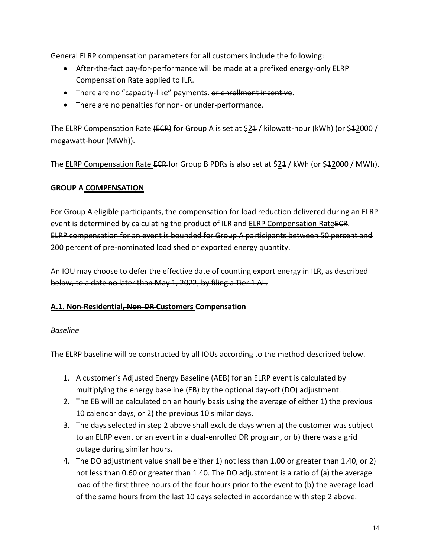General ELRP compensation parameters for all customers include the following:

- After-the-fact pay-for-performance will be made at a prefixed energy-only ELRP Compensation Rate applied to ILR.
- There are no "capacity-like" payments. or enrollment incentive.
- There are no penalties for non- or under-performance.

The ELRP Compensation Rate  ${ECR}$  for Group A is set at \$24 / kilowatt-hour (kWh) (or \$42000 / megawatt-hour (MWh)).

The ELRP Compensation Rate ECR for Group B PDRs is also set at  $$24$  / kWh (or  $$42000$  / MWh).

#### **GROUP A COMPENSATION**

For Group A eligible participants, the compensation for load reduction delivered during an ELRP event is determined by calculating the product of ILR and ELRP Compensation RateECR. ELRP compensation for an event is bounded for Group A participants between 50 percent and 200 percent of pre-nominated load shed or exported energy quantity.

An IOU may choose to defer the effective date of counting export energy in ILR, as described below, to a date no later than May 1, 2022, by filing a Tier 1 AL.

#### **A.1. Non-Residential, Non-DR Customers Compensation**

#### *Baseline*

The ELRP baseline will be constructed by all IOUs according to the method described below.

- 1. A customer's Adjusted Energy Baseline (AEB) for an ELRP event is calculated by multiplying the energy baseline (EB) by the optional day-off (DO) adjustment.
- 2. The EB will be calculated on an hourly basis using the average of either 1) the previous 10 calendar days, or 2) the previous 10 similar days.
- 3. The days selected in step 2 above shall exclude days when a) the customer was subject to an ELRP event or an event in a dual-enrolled DR program, or b) there was a grid outage during similar hours.
- 4. The DO adjustment value shall be either 1) not less than 1.00 or greater than 1.40, or 2) not less than 0.60 or greater than 1.40. The DO adjustment is a ratio of (a) the average load of the first three hours of the four hours prior to the event to (b) the average load of the same hours from the last 10 days selected in accordance with step 2 above.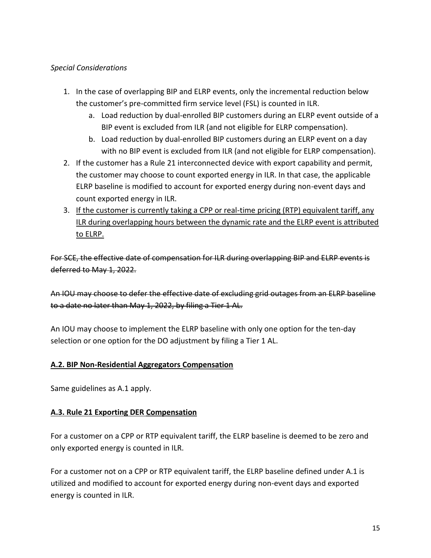#### *Special Considerations*

- 1. In the case of overlapping BIP and ELRP events, only the incremental reduction below the customer's pre-committed firm service level (FSL) is counted in ILR.
	- a. Load reduction by dual-enrolled BIP customers during an ELRP event outside of a BIP event is excluded from ILR (and not eligible for ELRP compensation).
	- b. Load reduction by dual-enrolled BIP customers during an ELRP event on a day with no BIP event is excluded from ILR (and not eligible for ELRP compensation).
- 2. If the customer has a Rule 21 interconnected device with export capability and permit, the customer may choose to count exported energy in ILR. In that case, the applicable ELRP baseline is modified to account for exported energy during non-event days and count exported energy in ILR.
- 3. If the customer is currently taking a CPP or real-time pricing (RTP) equivalent tariff, any ILR during overlapping hours between the dynamic rate and the ELRP event is attributed to ELRP.

For SCE, the effective date of compensation for ILR during overlapping BIP and ELRP events is deferred to May 1, 2022.

An IOU may choose to defer the effective date of excluding grid outages from an ELRP baseline to a date no later than May 1, 2022, by filing a Tier 1 AL.

An IOU may choose to implement the ELRP baseline with only one option for the ten-day selection or one option for the DO adjustment by filing a Tier 1 AL.

### **A.2. BIP Non-Residential Aggregators Compensation**

Same guidelines as A.1 apply.

### **A.3. Rule 21 Exporting DER Compensation**

For a customer on a CPP or RTP equivalent tariff, the ELRP baseline is deemed to be zero and only exported energy is counted in ILR.

For a customer not on a CPP or RTP equivalent tariff, the ELRP baseline defined under A.1 is utilized and modified to account for exported energy during non-event days and exported energy is counted in ILR.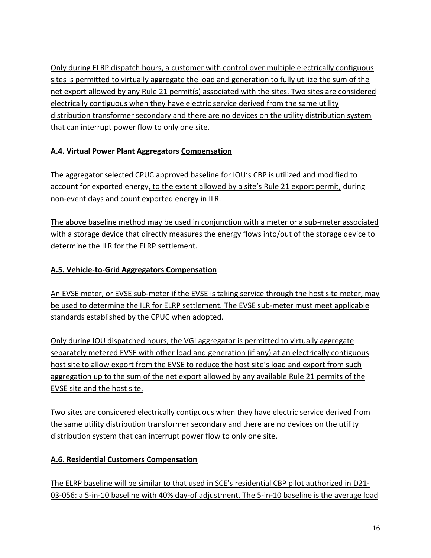Only during ELRP dispatch hours, a customer with control over multiple electrically contiguous sites is permitted to virtually aggregate the load and generation to fully utilize the sum of the net export allowed by any Rule 21 permit(s) associated with the sites. Two sites are considered electrically contiguous when they have electric service derived from the same utility distribution transformer secondary and there are no devices on the utility distribution system that can interrupt power flow to only one site.

### **A.4. Virtual Power Plant Aggregators Compensation**

The aggregator selected CPUC approved baseline for IOU's CBP is utilized and modified to account for exported energy, to the extent allowed by a site's Rule 21 export permit, during non-event days and count exported energy in ILR.

The above baseline method may be used in conjunction with a meter or a sub-meter associated with a storage device that directly measures the energy flows into/out of the storage device to determine the ILR for the ELRP settlement.

### **A.5. Vehicle-to-Grid Aggregators Compensation**

An EVSE meter, or EVSE sub-meter if the EVSE is taking service through the host site meter, may be used to determine the ILR for ELRP settlement. The EVSE sub-meter must meet applicable standards established by the CPUC when adopted.

Only during IOU dispatched hours, the VGI aggregator is permitted to virtually aggregate separately metered EVSE with other load and generation (if any) at an electrically contiguous host site to allow export from the EVSE to reduce the host site's load and export from such aggregation up to the sum of the net export allowed by any available Rule 21 permits of the EVSE site and the host site.

Two sites are considered electrically contiguous when they have electric service derived from the same utility distribution transformer secondary and there are no devices on the utility distribution system that can interrupt power flow to only one site.

### **A.6. Residential Customers Compensation**

The ELRP baseline will be similar to that used in SCE's residential CBP pilot authorized in D21- 03-056: a 5-in-10 baseline with 40% day-of adjustment. The 5-in-10 baseline is the average load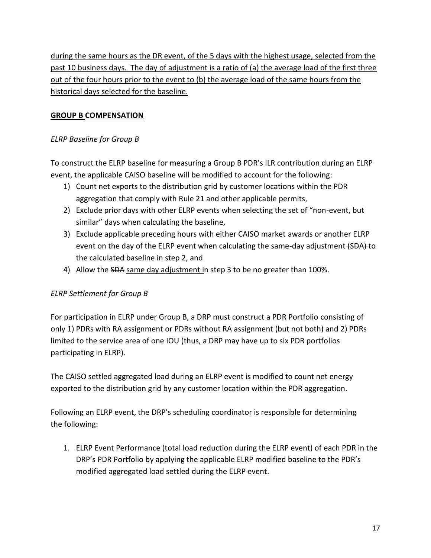during the same hours as the DR event, of the 5 days with the highest usage, selected from the past 10 business days. The day of adjustment is a ratio of (a) the average load of the first three out of the four hours prior to the event to (b) the average load of the same hours from the historical days selected for the baseline.

#### **GROUP B COMPENSATION**

#### *ELRP Baseline for Group B*

To construct the ELRP baseline for measuring a Group B PDR's ILR contribution during an ELRP event, the applicable CAISO baseline will be modified to account for the following:

- 1) Count net exports to the distribution grid by customer locations within the PDR aggregation that comply with Rule 21 and other applicable permits,
- 2) Exclude prior days with other ELRP events when selecting the set of "non-event, but similar" days when calculating the baseline,
- 3) Exclude applicable preceding hours with either CAISO market awards or another ELRP event on the day of the ELRP event when calculating the same-day adjustment (SDA) to the calculated baseline in step 2, and
- 4) Allow the SDA same day adjustment in step 3 to be no greater than 100%.

### *ELRP Settlement for Group B*

For participation in ELRP under Group B, a DRP must construct a PDR Portfolio consisting of only 1) PDRs with RA assignment or PDRs without RA assignment (but not both) and 2) PDRs limited to the service area of one IOU (thus, a DRP may have up to six PDR portfolios participating in ELRP).

The CAISO settled aggregated load during an ELRP event is modified to count net energy exported to the distribution grid by any customer location within the PDR aggregation.

Following an ELRP event, the DRP's scheduling coordinator is responsible for determining the following:

1. ELRP Event Performance (total load reduction during the ELRP event) of each PDR in the DRP's PDR Portfolio by applying the applicable ELRP modified baseline to the PDR's modified aggregated load settled during the ELRP event.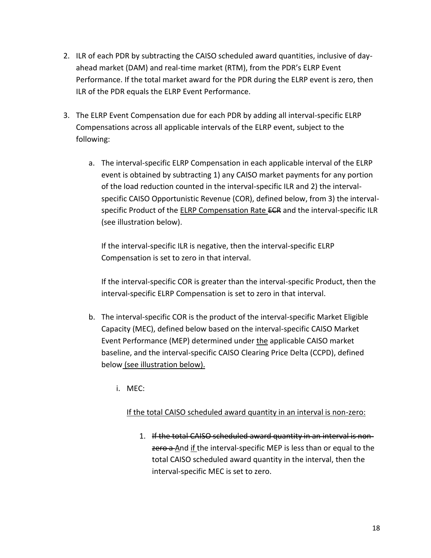- 2. ILR of each PDR by subtracting the CAISO scheduled award quantities, inclusive of dayahead market (DAM) and real-time market (RTM), from the PDR's ELRP Event Performance. If the total market award for the PDR during the ELRP event is zero, then ILR of the PDR equals the ELRP Event Performance.
- 3. The ELRP Event Compensation due for each PDR by adding all interval-specific ELRP Compensations across all applicable intervals of the ELRP event, subject to the following:
	- a. The interval-specific ELRP Compensation in each applicable interval of the ELRP event is obtained by subtracting 1) any CAISO market payments for any portion of the load reduction counted in the interval-specific ILR and 2) the intervalspecific CAISO Opportunistic Revenue (COR), defined below, from 3) the intervalspecific Product of the ELRP Compensation Rate ECR and the interval-specific ILR (see illustration below).

If the interval-specific ILR is negative, then the interval-specific ELRP Compensation is set to zero in that interval.

If the interval-specific COR is greater than the interval-specific Product, then the interval-specific ELRP Compensation is set to zero in that interval.

- b. The interval-specific COR is the product of the interval-specific Market Eligible Capacity (MEC), defined below based on the interval-specific CAISO Market Event Performance (MEP) determined under the applicable CAISO market baseline, and the interval-specific CAISO Clearing Price Delta (CCPD), defined below (see illustration below).
	- i. MEC:

#### If the total CAISO scheduled award quantity in an interval is non-zero:

1. If the total CAISO scheduled award quantity in an interval is nonzero a And if the interval-specific MEP is less than or equal to the total CAISO scheduled award quantity in the interval, then the interval-specific MEC is set to zero.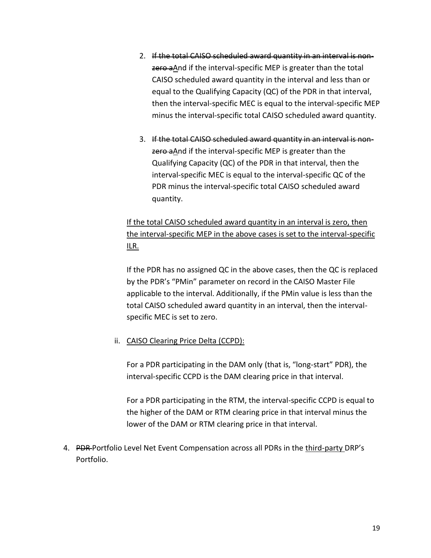- 2. If the total CAISO scheduled award quantity in an interval is nonzero aAnd if the interval-specific MEP is greater than the total CAISO scheduled award quantity in the interval and less than or equal to the Qualifying Capacity (QC) of the PDR in that interval, then the interval-specific MEC is equal to the interval-specific MEP minus the interval-specific total CAISO scheduled award quantity.
- 3. If the total CAISO scheduled award quantity in an interval is nonzero aAnd if the interval-specific MEP is greater than the Qualifying Capacity (QC) of the PDR in that interval, then the interval-specific MEC is equal to the interval-specific QC of the PDR minus the interval-specific total CAISO scheduled award quantity.

# If the total CAISO scheduled award quantity in an interval is zero, then the interval-specific MEP in the above cases is set to the interval-specific ILR.

If the PDR has no assigned QC in the above cases, then the QC is replaced by the PDR's "PMin" parameter on record in the CAISO Master File applicable to the interval. Additionally, if the PMin value is less than the total CAISO scheduled award quantity in an interval, then the intervalspecific MEC is set to zero.

### ii. CAISO Clearing Price Delta (CCPD):

For a PDR participating in the DAM only (that is, "long-start" PDR), the interval-specific CCPD is the DAM clearing price in that interval.

For a PDR participating in the RTM, the interval-specific CCPD is equal to the higher of the DAM or RTM clearing price in that interval minus the lower of the DAM or RTM clearing price in that interval.

4. PDR-Portfolio Level Net Event Compensation across all PDRs in the third-party DRP's Portfolio.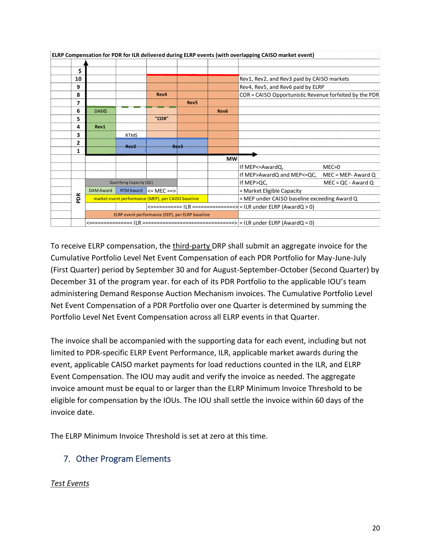|  | ELRP Compensation for PDR for ILR delivered during ELRP events (with overlapping CAISO market event) |                                                 |                                                    |                                                               |                                              |                      |                                                        |                       |  |  |
|--|------------------------------------------------------------------------------------------------------|-------------------------------------------------|----------------------------------------------------|---------------------------------------------------------------|----------------------------------------------|----------------------|--------------------------------------------------------|-----------------------|--|--|
|  |                                                                                                      |                                                 |                                                    |                                                               |                                              |                      |                                                        |                       |  |  |
|  | Ś                                                                                                    |                                                 |                                                    |                                                               |                                              |                      |                                                        |                       |  |  |
|  | 10                                                                                                   |                                                 |                                                    |                                                               |                                              |                      | Rev1, Rev2, and Rev3 paid by CAISO markets             |                       |  |  |
|  | 9                                                                                                    |                                                 |                                                    |                                                               |                                              |                      | Rev4, Rev5, and Rev6 paid by ELRP                      |                       |  |  |
|  | 8                                                                                                    |                                                 |                                                    | Rev4                                                          |                                              |                      | COR = CAISO Opportunistic Revenue forfeited by the PDR |                       |  |  |
|  | 7                                                                                                    |                                                 |                                                    |                                                               | Rev <sub>5</sub>                             |                      |                                                        |                       |  |  |
|  | 6                                                                                                    | <b>DAMS</b>                                     |                                                    |                                                               |                                              | Rev <sub>6</sub>     |                                                        |                       |  |  |
|  | 5                                                                                                    |                                                 |                                                    | "COR"                                                         |                                              |                      |                                                        |                       |  |  |
|  | 4                                                                                                    | Rev1                                            |                                                    |                                                               |                                              |                      |                                                        |                       |  |  |
|  | 3                                                                                                    |                                                 | <b>RTMS</b>                                        |                                                               |                                              |                      |                                                        |                       |  |  |
|  | $\overline{2}$                                                                                       | $Rev2$ Rev2                                     |                                                    |                                                               |                                              |                      |                                                        |                       |  |  |
|  | 1                                                                                                    |                                                 |                                                    |                                                               |                                              |                      |                                                        |                       |  |  |
|  |                                                                                                      |                                                 |                                                    |                                                               |                                              | <b>MW</b>            |                                                        |                       |  |  |
|  |                                                                                                      |                                                 |                                                    |                                                               |                                              |                      | If MEP<=AwardQ,                                        | $MEC = 0$             |  |  |
|  |                                                                                                      |                                                 |                                                    |                                                               |                                              |                      | If MEP>AwardQ and MEP<=QC,                             | $MEC = MEP - Award Q$ |  |  |
|  |                                                                                                      | Qualifying Capacity (QC)                        |                                                    |                                                               | If MEP>QC,                                   | $MEC = QC - Award Q$ |                                                        |                       |  |  |
|  | $\sim$<br>윤                                                                                          | DAM Award                                       |                                                    | RTM Award $\leq$ MEC ==>                                      |                                              |                      | = Market Eligible Capacity                             |                       |  |  |
|  |                                                                                                      |                                                 | market event performance (MEP), per CAISO baseline |                                                               | = MEP under CAISO baseline exceeding Award Q |                      |                                                        |                       |  |  |
|  |                                                                                                      |                                                 |                                                    | <========== ILR ==============> = ILR under ELRP (AwardQ > 0) |                                              |                      |                                                        |                       |  |  |
|  |                                                                                                      | ELRP event performance (EEP), per ELRP baseline |                                                    |                                                               |                                              |                      |                                                        |                       |  |  |
|  |                                                                                                      |                                                 |                                                    |                                                               |                                              |                      |                                                        |                       |  |  |

To receive ELRP compensation, the third-party DRP shall submit an aggregate invoice for the Cumulative Portfolio Level Net Event Compensation of each PDR Portfolio for May-June-July (First Quarter) period by September 30 and for August-September-October (Second Quarter) by December 31 of the program year. for each of its PDR Portfolio to the applicable IOU's team administering Demand Response Auction Mechanism invoices. The Cumulative Portfolio Level Net Event Compensation of a PDR Portfolio over one Quarter is determined by summing the Portfolio Level Net Event Compensation across all ELRP events in that Quarter.

The invoice shall be accompanied with the supporting data for each event, including but not limited to PDR-specific ELRP Event Performance, ILR, applicable market awards during the event, applicable CAISO market payments for load reductions counted in the ILR, and ELRP Event Compensation. The IOU may audit and verify the invoice as needed. The aggregate invoice amount must be equal to or larger than the ELRP Minimum Invoice Threshold to be eligible for compensation by the IOUs. The IOU shall settle the invoice within 60 days of the invoice date.

The ELRP Minimum Invoice Threshold is set at zero at this time.

# 7. Other Program Elements

#### *Test Events*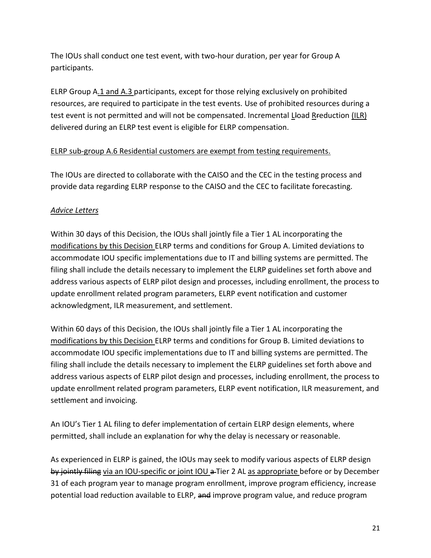The IOUs shall conduct one test event, with two-hour duration, per year for Group A participants.

ELRP Group A.1 and A.3 participants, except for those relying exclusively on prohibited resources, are required to participate in the test events. Use of prohibited resources during a test event is not permitted and will not be compensated. Incremental Lload R-reduction (ILR) delivered during an ELRP test event is eligible for ELRP compensation.

#### ELRP sub-group A.6 Residential customers are exempt from testing requirements.

The IOUs are directed to collaborate with the CAISO and the CEC in the testing process and provide data regarding ELRP response to the CAISO and the CEC to facilitate forecasting.

#### *Advice Letters*

Within 30 days of this Decision, the IOUs shall jointly file a Tier 1 AL incorporating the modifications by this Decision ELRP terms and conditions for Group A. Limited deviations to accommodate IOU specific implementations due to IT and billing systems are permitted. The filing shall include the details necessary to implement the ELRP guidelines set forth above and address various aspects of ELRP pilot design and processes, including enrollment, the process to update enrollment related program parameters, ELRP event notification and customer acknowledgment, ILR measurement, and settlement.

Within 60 days of this Decision, the IOUs shall jointly file a Tier 1 AL incorporating the modifications by this Decision ELRP terms and conditions for Group B. Limited deviations to accommodate IOU specific implementations due to IT and billing systems are permitted. The filing shall include the details necessary to implement the ELRP guidelines set forth above and address various aspects of ELRP pilot design and processes, including enrollment, the process to update enrollment related program parameters, ELRP event notification, ILR measurement, and settlement and invoicing.

An IOU's Tier 1 AL filing to defer implementation of certain ELRP design elements, where permitted, shall include an explanation for why the delay is necessary or reasonable.

As experienced in ELRP is gained, the IOUs may seek to modify various aspects of ELRP design by jointly filing via an IOU-specific or joint IOU a Tier 2 AL as appropriate before or by December 31 of each program year to manage program enrollment, improve program efficiency, increase potential load reduction available to ELRP, and improve program value, and reduce program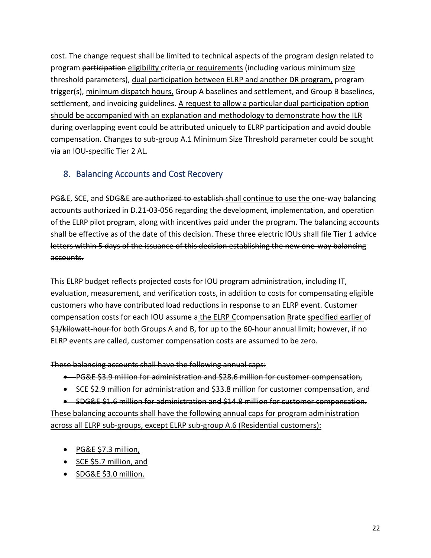cost. The change request shall be limited to technical aspects of the program design related to program participation eligibility criteria or requirements (including various minimum size threshold parameters), dual participation between ELRP and another DR program, program trigger(s), minimum dispatch hours, Group A baselines and settlement, and Group B baselines, settlement, and invoicing guidelines. A request to allow a particular dual participation option should be accompanied with an explanation and methodology to demonstrate how the ILR during overlapping event could be attributed uniquely to ELRP participation and avoid double compensation. Changes to sub-group A.1 Minimum Size Threshold parameter could be sought via an IOU-specific Tier 2 AL.

# 8. Balancing Accounts and Cost Recovery

PG&E, SCE, and SDG&E are authorized to establish shall continue to use the one-way balancing accounts authorized in D.21-03-056 regarding the development, implementation, and operation of the ELRP pilot program, along with incentives paid under the program. The balancing accounts shall be effective as of the date of this decision. These three electric IOUs shall file Tier 1 advice letters within 5 days of the issuance of this decision establishing the new one-way balancing accounts.

This ELRP budget reflects projected costs for IOU program administration, including IT, evaluation, measurement, and verification costs, in addition to costs for compensating eligible customers who have contributed load reductions in response to an ELRP event. Customer compensation costs for each IOU assume a the ELRP Ceompensation Reate specified earlier of \$1/kilowatt-hour for both Groups A and B, for up to the 60-hour annual limit; however, if no ELRP events are called, customer compensation costs are assumed to be zero.

These balancing accounts shall have the following annual caps:

- PG&E \$3.9 million for administration and \$28.6 million for customer compensation,
- SCE \$2.9 million for administration and \$33.8 million for customer compensation, and

• SDG&E \$1.6 million for administration and \$14.8 million for customer compensation. These balancing accounts shall have the following annual caps for program administration across all ELRP sub-groups, except ELRP sub-group A.6 (Residential customers):

- PG&E \$7.3 million,
- SCE \$5.7 million, and
- SDG&E \$3.0 million.